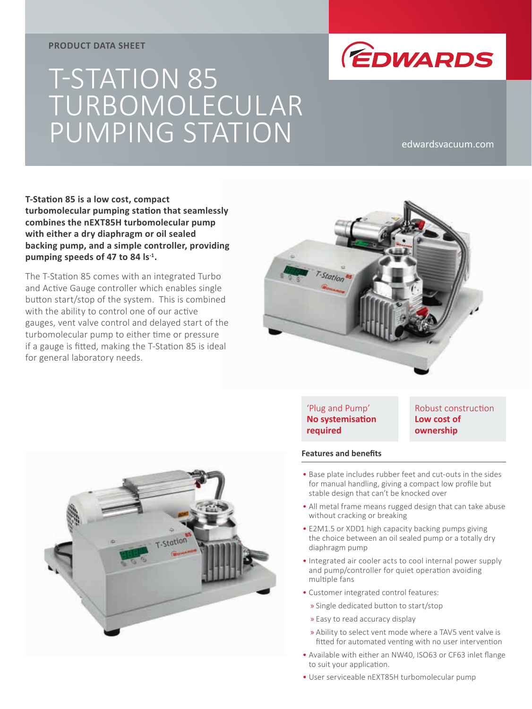## **PRODUCT DATA SHEET**



# T-STATION 85 TURBOMOLECULAR PUMPING STATION edwardsvacuum.com

**T-Station 85 is a low cost, compact turbomolecular pumping station that seamlessly combines the nEXT85H turbomolecular pump with either a dry diaphragm or oil sealed backing pump, and a simple controller, providing pumping speeds of 47 to 84 ls-1.**

The T-Station 85 comes with an integrated Turbo and Active Gauge controller which enables single button start/stop of the system. This is combined with the ability to control one of our active gauges, vent valve control and delayed start of the turbomolecular pump to either time or pressure if a gauge is fitted, making the T-Station 85 is ideal for general laboratory needs.





## 'Plug and Pump' **No systemisation required**

Robust construction **Low cost of ownership**

### **Features and benefits**

- Base plate includes rubber feet and cut-outs in the sides for manual handling, giving a compact low profile but stable design that can't be knocked over
- All metal frame means rugged design that can take abuse without cracking or breaking
- E2M1.5 or XDD1 high capacity backing pumps giving the choice between an oil sealed pump or a totally dry diaphragm pump
- Integrated air cooler acts to cool internal power supply and pump/controller for quiet operation avoiding multiple fans
- Customer integrated control features:
	- » Single dedicated button to start/stop
	- » Easy to read accuracy display
	- » Ability to select vent mode where a TAV5 vent valve is fitted for automated venting with no user intervention
- Available with either an NW40, ISO63 or CF63 inlet flange to suit your application.
- User serviceable nEXT85H turbomolecular pump